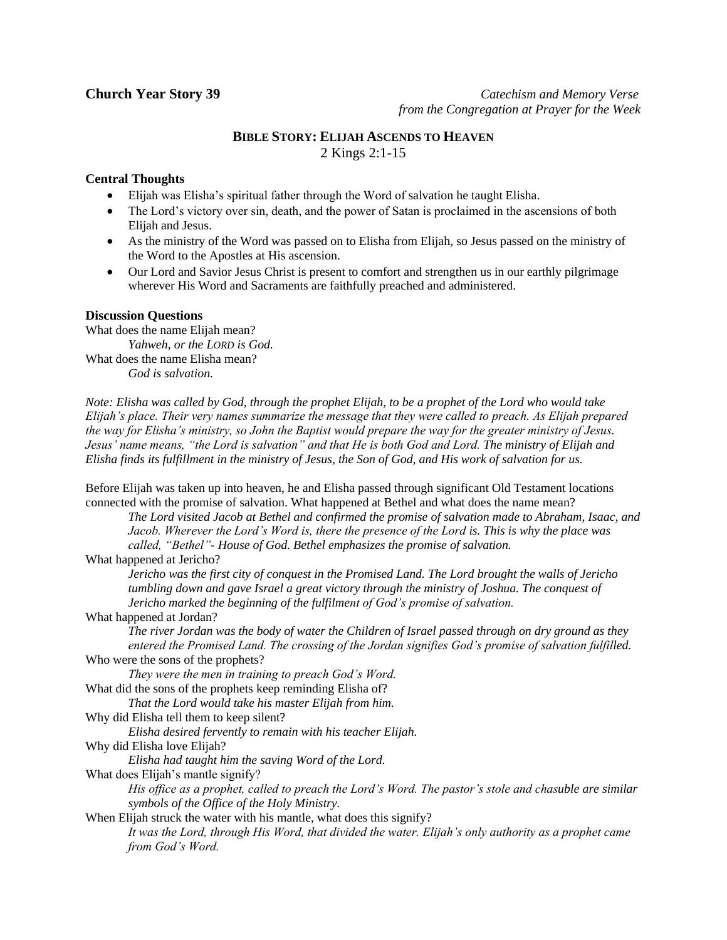**Church Year Story 39** *Catechism and Memory Verse* *from the Congregation at Prayer for the Week*

# **BIBLE STORY: ELIJAH ASCENDS TO HEAVEN** 2 Kings 2:1-15

## **Central Thoughts**

- Elijah was Elisha's spiritual father through the Word of salvation he taught Elisha.
- The Lord's victory over sin, death, and the power of Satan is proclaimed in the ascensions of both Elijah and Jesus.
- As the ministry of the Word was passed on to Elisha from Elijah, so Jesus passed on the ministry of the Word to the Apostles at His ascension.
- Our Lord and Savior Jesus Christ is present to comfort and strengthen us in our earthly pilgrimage wherever His Word and Sacraments are faithfully preached and administered.

## **Discussion Questions**

What does the name Elijah mean? *Yahweh, or the LORD is God.* What does the name Elisha mean? *God is salvation.*

*Note: Elisha was called by God, through the prophet Elijah, to be a prophet of the Lord who would take Elijah's place. Their very names summarize the message that they were called to preach. As Elijah prepared the way for Elisha's ministry, so John the Baptist would prepare the way for the greater ministry of Jesus. Jesus' name means, "the Lord is salvation" and that He is both God and Lord. The ministry of Elijah and Elisha finds its fulfillment in the ministry of Jesus, the Son of God, and His work of salvation for us.*

Before Elijah was taken up into heaven, he and Elisha passed through significant Old Testament locations connected with the promise of salvation. What happened at Bethel and what does the name mean?

*The Lord visited Jacob at Bethel and confirmed the promise of salvation made to Abraham, Isaac, and Jacob. Wherever the Lord's Word is, there the presence of the Lord is. This is why the place was called, "Bethel"- House of God. Bethel emphasizes the promise of salvation.*

What happened at Jericho?

*Jericho was the first city of conquest in the Promised Land. The Lord brought the walls of Jericho tumbling down and gave Israel a great victory through the ministry of Joshua. The conquest of Jericho marked the beginning of the fulfilment of God's promise of salvation.*

### What happened at Jordan?

*The river Jordan was the body of water the Children of Israel passed through on dry ground as they entered the Promised Land. The crossing of the Jordan signifies God's promise of salvation fulfilled.*  Who were the sons of the prophets?

*They were the men in training to preach God's Word.*

What did the sons of the prophets keep reminding Elisha of?

*That the Lord would take his master Elijah from him.*

Why did Elisha tell them to keep silent?

*Elisha desired fervently to remain with his teacher Elijah.*

Why did Elisha love Elijah?

*Elisha had taught him the saving Word of the Lord.*

What does Elijah's mantle signify?

*His office as a prophet, called to preach the Lord's Word. The pastor's stole and chasuble are similar symbols of the Office of the Holy Ministry.*

When Elijah struck the water with his mantle, what does this signify? *It was the Lord, through His Word, that divided the water. Elijah's only authority as a prophet came from God's Word.*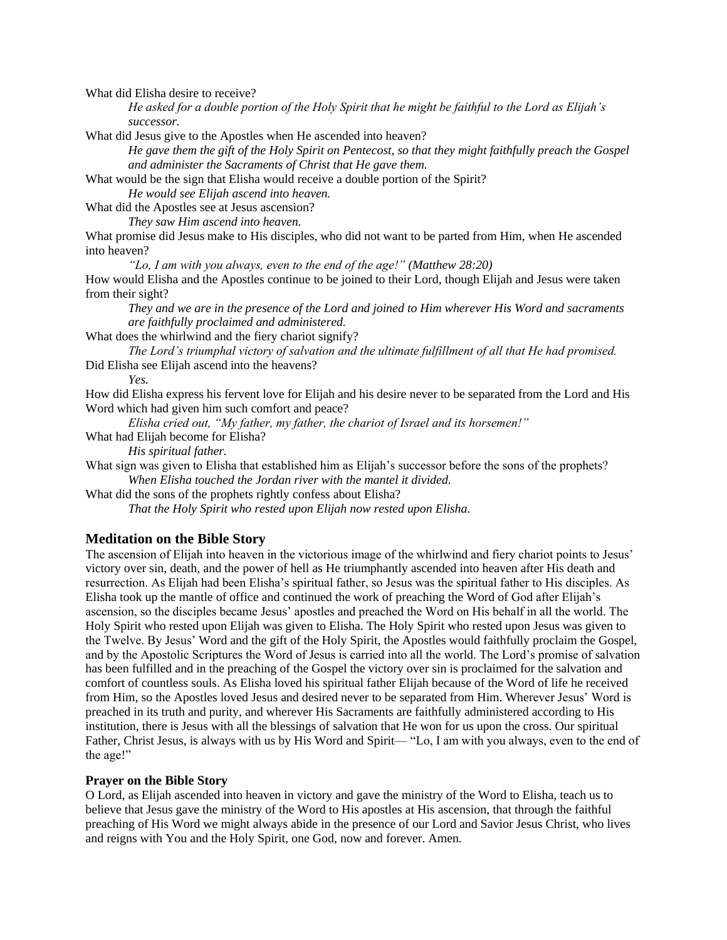What did Elisha desire to receive?

*He asked for a double portion of the Holy Spirit that he might be faithful to the Lord as Elijah's successor.*

What did Jesus give to the Apostles when He ascended into heaven?

*He gave them the gift of the Holy Spirit on Pentecost, so that they might faithfully preach the Gospel and administer the Sacraments of Christ that He gave them.*

What would be the sign that Elisha would receive a double portion of the Spirit?

*He would see Elijah ascend into heaven.*

What did the Apostles see at Jesus ascension?

*They saw Him ascend into heaven.*

What promise did Jesus make to His disciples, who did not want to be parted from Him, when He ascended into heaven?

*"Lo, I am with you always, even to the end of the age!" (Matthew 28:20)*

How would Elisha and the Apostles continue to be joined to their Lord, though Elijah and Jesus were taken from their sight?

*They and we are in the presence of the Lord and joined to Him wherever His Word and sacraments are faithfully proclaimed and administered.*

What does the whirlwind and the fiery chariot signify?

*The Lord's triumphal victory of salvation and the ultimate fulfillment of all that He had promised.* Did Elisha see Elijah ascend into the heavens?

*Yes.*

How did Elisha express his fervent love for Elijah and his desire never to be separated from the Lord and His Word which had given him such comfort and peace?

*Elisha cried out, "My father, my father, the chariot of Israel and its horsemen!"*

What had Elijah become for Elisha?

*His spiritual father.*

What sign was given to Elisha that established him as Elijah's successor before the sons of the prophets? *When Elisha touched the Jordan river with the mantel it divided.*

What did the sons of the prophets rightly confess about Elisha?

*That the Holy Spirit who rested upon Elijah now rested upon Elisha.*

#### **Meditation on the Bible Story**

The ascension of Elijah into heaven in the victorious image of the whirlwind and fiery chariot points to Jesus' victory over sin, death, and the power of hell as He triumphantly ascended into heaven after His death and resurrection. As Elijah had been Elisha's spiritual father, so Jesus was the spiritual father to His disciples. As Elisha took up the mantle of office and continued the work of preaching the Word of God after Elijah's ascension, so the disciples became Jesus' apostles and preached the Word on His behalf in all the world. The Holy Spirit who rested upon Elijah was given to Elisha. The Holy Spirit who rested upon Jesus was given to the Twelve. By Jesus' Word and the gift of the Holy Spirit, the Apostles would faithfully proclaim the Gospel, and by the Apostolic Scriptures the Word of Jesus is carried into all the world. The Lord's promise of salvation has been fulfilled and in the preaching of the Gospel the victory over sin is proclaimed for the salvation and comfort of countless souls. As Elisha loved his spiritual father Elijah because of the Word of life he received from Him, so the Apostles loved Jesus and desired never to be separated from Him. Wherever Jesus' Word is preached in its truth and purity, and wherever His Sacraments are faithfully administered according to His institution, there is Jesus with all the blessings of salvation that He won for us upon the cross. Our spiritual Father, Christ Jesus, is always with us by His Word and Spirit— "Lo, I am with you always, even to the end of the age!"

#### **Prayer on the Bible Story**

O Lord, as Elijah ascended into heaven in victory and gave the ministry of the Word to Elisha, teach us to believe that Jesus gave the ministry of the Word to His apostles at His ascension, that through the faithful preaching of His Word we might always abide in the presence of our Lord and Savior Jesus Christ, who lives and reigns with You and the Holy Spirit, one God, now and forever. Amen.